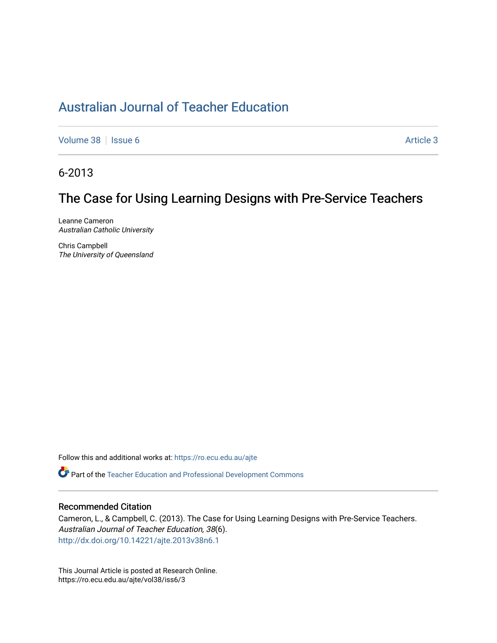# [Australian Journal of Teacher Education](https://ro.ecu.edu.au/ajte)

[Volume 38](https://ro.ecu.edu.au/ajte/vol38) | [Issue 6](https://ro.ecu.edu.au/ajte/vol38/iss6) Article 3

6-2013

# The Case for Using Learning Designs with Pre-Service Teachers

Leanne Cameron Australian Catholic University

Chris Campbell The University of Queensland

Follow this and additional works at: [https://ro.ecu.edu.au/ajte](https://ro.ecu.edu.au/ajte?utm_source=ro.ecu.edu.au%2Fajte%2Fvol38%2Fiss6%2F3&utm_medium=PDF&utm_campaign=PDFCoverPages) 

Part of the [Teacher Education and Professional Development Commons](http://network.bepress.com/hgg/discipline/803?utm_source=ro.ecu.edu.au%2Fajte%2Fvol38%2Fiss6%2F3&utm_medium=PDF&utm_campaign=PDFCoverPages)

## Recommended Citation

Cameron, L., & Campbell, C. (2013). The Case for Using Learning Designs with Pre-Service Teachers. Australian Journal of Teacher Education, 38(6). <http://dx.doi.org/10.14221/ajte.2013v38n6.1>

This Journal Article is posted at Research Online. https://ro.ecu.edu.au/ajte/vol38/iss6/3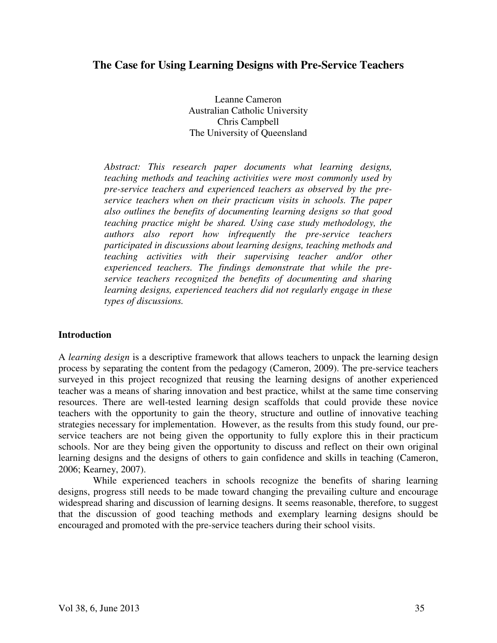# **The Case for Using Learning Designs with Pre-Service Teachers**

Leanne Cameron Australian Catholic University Chris Campbell The University of Queensland

*Abstract: This research paper documents what learning designs, teaching methods and teaching activities were most commonly used by pre-service teachers and experienced teachers as observed by the preservice teachers when on their practicum visits in schools. The paper also outlines the benefits of documenting learning designs so that good teaching practice might be shared. Using case study methodology, the authors also report how infrequently the pre-service teachers participated in discussions about learning designs, teaching methods and teaching activities with their supervising teacher and/or other experienced teachers. The findings demonstrate that while the preservice teachers recognized the benefits of documenting and sharing learning designs, experienced teachers did not regularly engage in these types of discussions.* 

# **Introduction**

A *learning design* is a descriptive framework that allows teachers to unpack the learning design process by separating the content from the pedagogy (Cameron, 2009). The pre-service teachers surveyed in this project recognized that reusing the learning designs of another experienced teacher was a means of sharing innovation and best practice, whilst at the same time conserving resources. There are well-tested learning design scaffolds that could provide these novice teachers with the opportunity to gain the theory, structure and outline of innovative teaching strategies necessary for implementation. However, as the results from this study found, our preservice teachers are not being given the opportunity to fully explore this in their practicum schools. Nor are they being given the opportunity to discuss and reflect on their own original learning designs and the designs of others to gain confidence and skills in teaching (Cameron, 2006; Kearney, 2007).

 While experienced teachers in schools recognize the benefits of sharing learning designs, progress still needs to be made toward changing the prevailing culture and encourage widespread sharing and discussion of learning designs. It seems reasonable, therefore, to suggest that the discussion of good teaching methods and exemplary learning designs should be encouraged and promoted with the pre-service teachers during their school visits.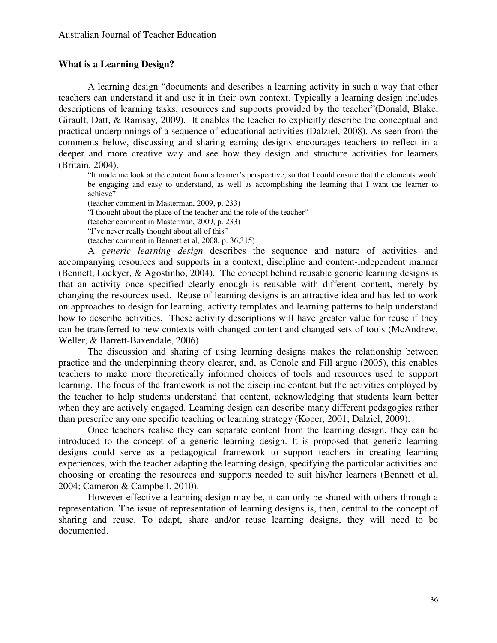# **What is a Learning Design?**

A learning design "documents and describes a learning activity in such a way that other teachers can understand it and use it in their own context. Typically a learning design includes descriptions of learning tasks, resources and supports provided by the teacher"(Donald, Blake, Girault, Datt, & Ramsay, 2009). It enables the teacher to explicitly describe the conceptual and practical underpinnings of a sequence of educational activities (Dalziel, 2008). As seen from the comments below, discussing and sharing earning designs encourages teachers to reflect in a deeper and more creative way and see how they design and structure activities for learners (Britain, 2004).

"It made me look at the content from a learner's perspective, so that I could ensure that the elements would be engaging and easy to understand, as well as accomplishing the learning that I want the learner to achieve"

(teacher comment in Masterman, 2009, p. 233)

"I thought about the place of the teacher and the role of the teacher"

(teacher comment in Masterman, 2009, p. 233)

"I've never really thought about all of this"

(teacher comment in Bennett et al, 2008, p. 36,315)

A *generic learning design* describes the sequence and nature of activities and accompanying resources and supports in a context, discipline and content-independent manner (Bennett, Lockyer, & Agostinho, 2004). The concept behind reusable generic learning designs is that an activity once specified clearly enough is reusable with different content, merely by changing the resources used. Reuse of learning designs is an attractive idea and has led to work on approaches to design for learning, activity templates and learning patterns to help understand how to describe activities. These activity descriptions will have greater value for reuse if they can be transferred to new contexts with changed content and changed sets of tools (McAndrew, Weller, & Barrett-Baxendale, 2006).

The discussion and sharing of using learning designs makes the relationship between practice and the underpinning theory clearer, and, as Conole and Fill argue (2005), this enables teachers to make more theoretically informed choices of tools and resources used to support learning. The focus of the framework is not the discipline content but the activities employed by the teacher to help students understand that content, acknowledging that students learn better when they are actively engaged. Learning design can describe many different pedagogies rather than prescribe any one specific teaching or learning strategy (Koper, 2001; Dalziel, 2009).

Once teachers realise they can separate content from the learning design, they can be introduced to the concept of a generic learning design. It is proposed that generic learning designs could serve as a pedagogical framework to support teachers in creating learning experiences, with the teacher adapting the learning design, specifying the particular activities and choosing or creating the resources and supports needed to suit his/her learners (Bennett et al, 2004; Cameron & Campbell, 2010).

However effective a learning design may be, it can only be shared with others through a representation. The issue of representation of learning designs is, then, central to the concept of sharing and reuse. To adapt, share and/or reuse learning designs, they will need to be documented.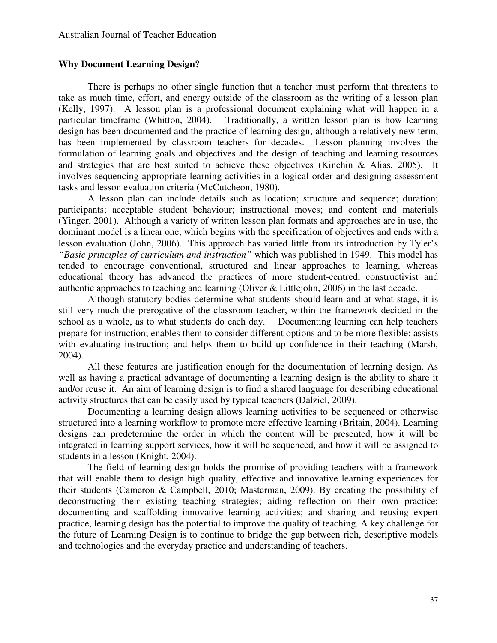## **Why Document Learning Design?**

There is perhaps no other single function that a teacher must perform that threatens to take as much time, effort, and energy outside of the classroom as the writing of a lesson plan (Kelly, 1997). A lesson plan is a professional document explaining what will happen in a particular timeframe (Whitton, 2004). Traditionally, a written lesson plan is how learning design has been documented and the practice of learning design, although a relatively new term, has been implemented by classroom teachers for decades. Lesson planning involves the formulation of learning goals and objectives and the design of teaching and learning resources and strategies that are best suited to achieve these objectives (Kinchin & Alias, 2005). It involves sequencing appropriate learning activities in a logical order and designing assessment tasks and lesson evaluation criteria (McCutcheon, 1980).

A lesson plan can include details such as location; structure and sequence; duration; participants; acceptable student behaviour; instructional moves; and content and materials (Yinger, 2001). Although a variety of written lesson plan formats and approaches are in use, the dominant model is a linear one, which begins with the specification of objectives and ends with a lesson evaluation (John, 2006). This approach has varied little from its introduction by Tyler's *"Basic principles of curriculum and instruction"* which was published in 1949. This model has tended to encourage conventional, structured and linear approaches to learning, whereas educational theory has advanced the practices of more student-centred, constructivist and authentic approaches to teaching and learning (Oliver & Littlejohn, 2006) in the last decade.

 Although statutory bodies determine what students should learn and at what stage, it is still very much the prerogative of the classroom teacher, within the framework decided in the school as a whole, as to what students do each day. Documenting learning can help teachers school as a whole, as to what students do each day. prepare for instruction; enables them to consider different options and to be more flexible; assists with evaluating instruction; and helps them to build up confidence in their teaching (Marsh, 2004).

All these features are justification enough for the documentation of learning design. As well as having a practical advantage of documenting a learning design is the ability to share it and/or reuse it. An aim of learning design is to find a shared language for describing educational activity structures that can be easily used by typical teachers (Dalziel, 2009).

Documenting a learning design allows learning activities to be sequenced or otherwise structured into a learning workflow to promote more effective learning (Britain, 2004). Learning designs can predetermine the order in which the content will be presented, how it will be integrated in learning support services, how it will be sequenced, and how it will be assigned to students in a lesson (Knight, 2004).

The field of learning design holds the promise of providing teachers with a framework that will enable them to design high quality, effective and innovative learning experiences for their students (Cameron & Campbell, 2010; Masterman, 2009). By creating the possibility of deconstructing their existing teaching strategies; aiding reflection on their own practice; documenting and scaffolding innovative learning activities; and sharing and reusing expert practice, learning design has the potential to improve the quality of teaching. A key challenge for the future of Learning Design is to continue to bridge the gap between rich, descriptive models and technologies and the everyday practice and understanding of teachers.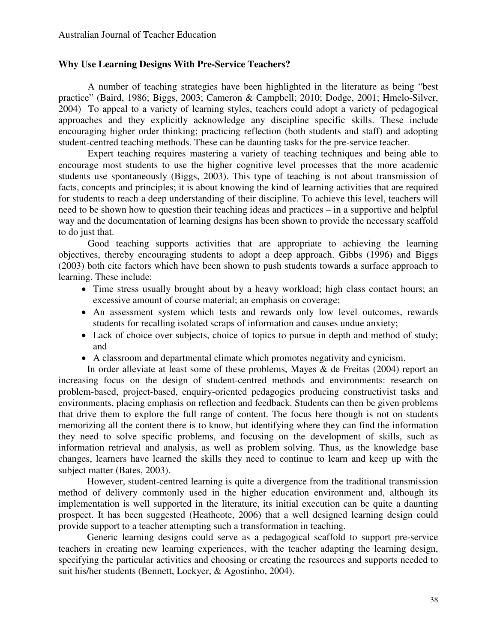## **Why Use Learning Designs With Pre-Service Teachers?**

A number of teaching strategies have been highlighted in the literature as being "best practice" (Baird, 1986; Biggs, 2003; Cameron & Campbell; 2010; Dodge, 2001; Hmelo-Silver, 2004) To appeal to a variety of learning styles, teachers could adopt a variety of pedagogical approaches and they explicitly acknowledge any discipline specific skills. These include encouraging higher order thinking; practicing reflection (both students and staff) and adopting student-centred teaching methods. These can be daunting tasks for the pre-service teacher.

Expert teaching requires mastering a variety of teaching techniques and being able to encourage most students to use the higher cognitive level processes that the more academic students use spontaneously (Biggs, 2003). This type of teaching is not about transmission of facts, concepts and principles; it is about knowing the kind of learning activities that are required for students to reach a deep understanding of their discipline. To achieve this level, teachers will need to be shown how to question their teaching ideas and practices – in a supportive and helpful way and the documentation of learning designs has been shown to provide the necessary scaffold to do just that.

Good teaching supports activities that are appropriate to achieving the learning objectives, thereby encouraging students to adopt a deep approach. Gibbs (1996) and Biggs (2003) both cite factors which have been shown to push students towards a surface approach to learning. These include:

- Time stress usually brought about by a heavy workload; high class contact hours; an excessive amount of course material; an emphasis on coverage;
- An assessment system which tests and rewards only low level outcomes, rewards students for recalling isolated scraps of information and causes undue anxiety;
- Lack of choice over subjects, choice of topics to pursue in depth and method of study; and
- A classroom and departmental climate which promotes negativity and cynicism.

In order alleviate at least some of these problems, Mayes & de Freitas (2004) report an increasing focus on the design of student-centred methods and environments: research on problem-based, project-based, enquiry-oriented pedagogies producing constructivist tasks and environments, placing emphasis on reflection and feedback. Students can then be given problems that drive them to explore the full range of content. The focus here though is not on students memorizing all the content there is to know, but identifying where they can find the information they need to solve specific problems, and focusing on the development of skills, such as information retrieval and analysis, as well as problem solving. Thus, as the knowledge base changes, learners have learned the skills they need to continue to learn and keep up with the subject matter (Bates, 2003).

However, student-centred learning is quite a divergence from the traditional transmission method of delivery commonly used in the higher education environment and, although its implementation is well supported in the literature, its initial execution can be quite a daunting prospect. It has been suggested (Heathcote, 2006) that a well designed learning design could provide support to a teacher attempting such a transformation in teaching.

Generic learning designs could serve as a pedagogical scaffold to support pre-service teachers in creating new learning experiences, with the teacher adapting the learning design, specifying the particular activities and choosing or creating the resources and supports needed to suit his/her students (Bennett, Lockyer, & Agostinho, 2004).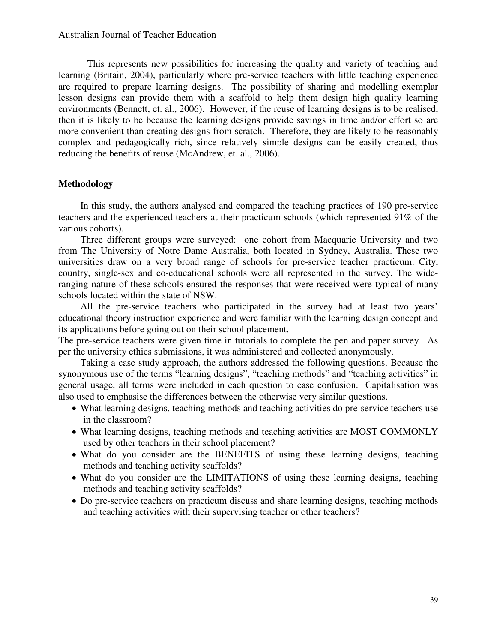This represents new possibilities for increasing the quality and variety of teaching and learning (Britain, 2004), particularly where pre-service teachers with little teaching experience are required to prepare learning designs. The possibility of sharing and modelling exemplar lesson designs can provide them with a scaffold to help them design high quality learning environments (Bennett, et. al., 2006). However, if the reuse of learning designs is to be realised, then it is likely to be because the learning designs provide savings in time and/or effort so are more convenient than creating designs from scratch. Therefore, they are likely to be reasonably complex and pedagogically rich, since relatively simple designs can be easily created, thus reducing the benefits of reuse (McAndrew, et. al., 2006).

# **Methodology**

 In this study, the authors analysed and compared the teaching practices of 190 pre-service teachers and the experienced teachers at their practicum schools (which represented 91% of the various cohorts).

 Three different groups were surveyed: one cohort from Macquarie University and two from The University of Notre Dame Australia, both located in Sydney, Australia. These two universities draw on a very broad range of schools for pre-service teacher practicum. City, country, single-sex and co-educational schools were all represented in the survey. The wideranging nature of these schools ensured the responses that were received were typical of many schools located within the state of NSW.

 All the pre-service teachers who participated in the survey had at least two years' educational theory instruction experience and were familiar with the learning design concept and its applications before going out on their school placement.

The pre-service teachers were given time in tutorials to complete the pen and paper survey. As per the university ethics submissions, it was administered and collected anonymously.

 Taking a case study approach, the authors addressed the following questions. Because the synonymous use of the terms "learning designs", "teaching methods" and "teaching activities" in general usage, all terms were included in each question to ease confusion. Capitalisation was also used to emphasise the differences between the otherwise very similar questions.

- What learning designs, teaching methods and teaching activities do pre-service teachers use in the classroom?
- What learning designs, teaching methods and teaching activities are MOST COMMONLY used by other teachers in their school placement?
- What do you consider are the BENEFITS of using these learning designs, teaching methods and teaching activity scaffolds?
- What do you consider are the LIMITATIONS of using these learning designs, teaching methods and teaching activity scaffolds?
- Do pre-service teachers on practicum discuss and share learning designs, teaching methods and teaching activities with their supervising teacher or other teachers?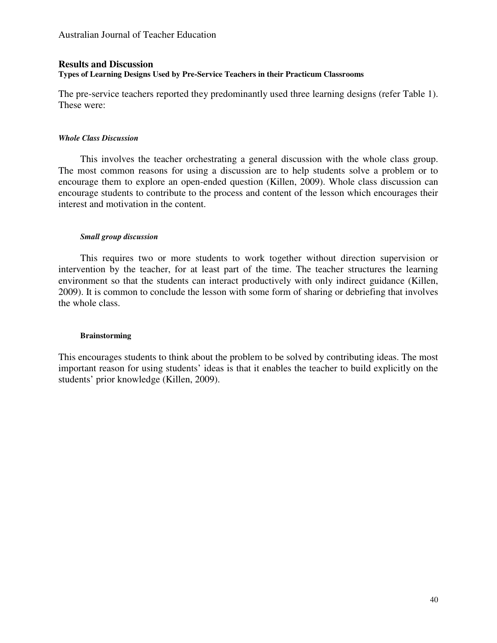# **Results and Discussion Types of Learning Designs Used by Pre-Service Teachers in their Practicum Classrooms**

The pre-service teachers reported they predominantly used three learning designs (refer Table 1). These were:

#### *Whole Class Discussion*

 This involves the teacher orchestrating a general discussion with the whole class group. The most common reasons for using a discussion are to help students solve a problem or to encourage them to explore an open-ended question (Killen, 2009). Whole class discussion can encourage students to contribute to the process and content of the lesson which encourages their interest and motivation in the content.

# *Small group discussion*

 This requires two or more students to work together without direction supervision or intervention by the teacher, for at least part of the time. The teacher structures the learning environment so that the students can interact productively with only indirect guidance (Killen, 2009). It is common to conclude the lesson with some form of sharing or debriefing that involves the whole class.

#### **Brainstorming**

This encourages students to think about the problem to be solved by contributing ideas. The most important reason for using students' ideas is that it enables the teacher to build explicitly on the students' prior knowledge (Killen, 2009).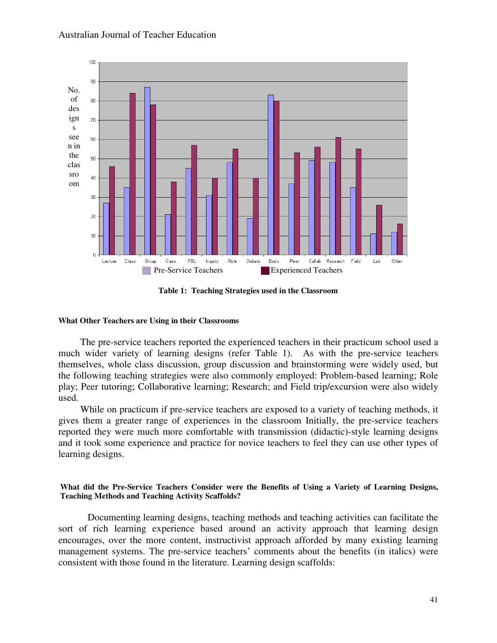### Australian Journal of Teacher Education



**Table 1: Teaching Strategies used in the Classroom**

#### **What Other Teachers are Using in their Classrooms**

 The pre-service teachers reported the experienced teachers in their practicum school used a much wider variety of learning designs (refer Table 1). As with the pre-service teachers themselves, whole class discussion, group discussion and brainstorming were widely used, but the following teaching strategies were also commonly employed: Problem-based learning; Role play; Peer tutoring; Collaborative learning; Research; and Field trip/excursion were also widely used.

 While on practicum if pre-service teachers are exposed to a variety of teaching methods, it gives them a greater range of experiences in the classroom Initially, the pre-service teachers reported they were much more comfortable with transmission (didactic)-style learning designs and it took some experience and practice for novice teachers to feel they can use other types of learning designs.

#### **What did the Pre-Service Teachers Consider were the Benefits of Using a Variety of Learning Designs, Teaching Methods and Teaching Activity Scaffolds?**

Documenting learning designs, teaching methods and teaching activities can facilitate the sort of rich learning experience based around an activity approach that learning design encourages, over the more content, instructivist approach afforded by many existing learning management systems. The pre-service teachers' comments about the benefits (in italics) were consistent with those found in the literature. Learning design scaffolds: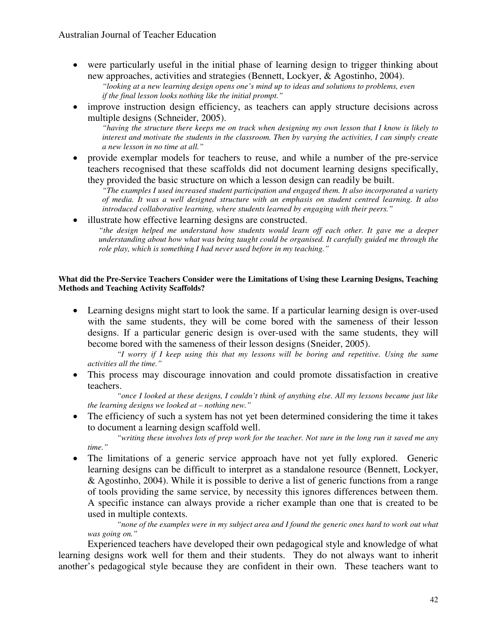• were particularly useful in the initial phase of learning design to trigger thinking about new approaches, activities and strategies (Bennett, Lockyer, & Agostinho, 2004).

*"looking at a new learning design opens one's mind up to ideas and solutions to problems, even if the final lesson looks nothing like the initial prompt."* 

• improve instruction design efficiency, as teachers can apply structure decisions across multiple designs (Schneider, 2005).

*"having the structure there keeps me on track when designing my own lesson that I know is likely to interest and motivate the students in the classroom. Then by varying the activities, I can simply create a new lesson in no time at all."* 

• provide exemplar models for teachers to reuse, and while a number of the pre-service teachers recognised that these scaffolds did not document learning designs specifically, they provided the basic structure on which a lesson design can readily be built.

*"The examples I used increased student participation and engaged them. It also incorporated a variety of media. It was a well designed structure with an emphasis on student centred learning. It also introduced collaborative learning, where students learned by engaging with their peers."* 

• illustrate how effective learning designs are constructed.

*"the design helped me understand how students would learn off each other. It gave me a deeper understanding about how what was being taught could be organised. It carefully guided me through the role play, which is something I had never used before in my teaching."* 

#### **What did the Pre-Service Teachers Consider were the Limitations of Using these Learning Designs, Teaching Methods and Teaching Activity Scaffolds?**

• Learning designs might start to look the same. If a particular learning design is over-used with the same students, they will be come bored with the sameness of their lesson designs. If a particular generic design is over-used with the same students, they will become bored with the sameness of their lesson designs (Sneider, 2005).

*"I worry if I keep using this that my lessons will be boring and repetitive. Using the same activities all the time."* 

• This process may discourage innovation and could promote dissatisfaction in creative teachers.

*"once I looked at these designs, I couldn't think of anything else. All my lessons became just like the learning designs we looked at – nothing new."* 

• The efficiency of such a system has not yet been determined considering the time it takes to document a learning design scaffold well.

*"writing these involves lots of prep work for the teacher. Not sure in the long run it saved me any time."* 

• The limitations of a generic service approach have not yet fully explored. Generic learning designs can be difficult to interpret as a standalone resource (Bennett, Lockyer, & Agostinho, 2004). While it is possible to derive a list of generic functions from a range of tools providing the same service, by necessity this ignores differences between them. A specific instance can always provide a richer example than one that is created to be used in multiple contexts.

*"none of the examples were in my subject area and I found the generic ones hard to work out what was going on."* 

Experienced teachers have developed their own pedagogical style and knowledge of what learning designs work well for them and their students. They do not always want to inherit another's pedagogical style because they are confident in their own. These teachers want to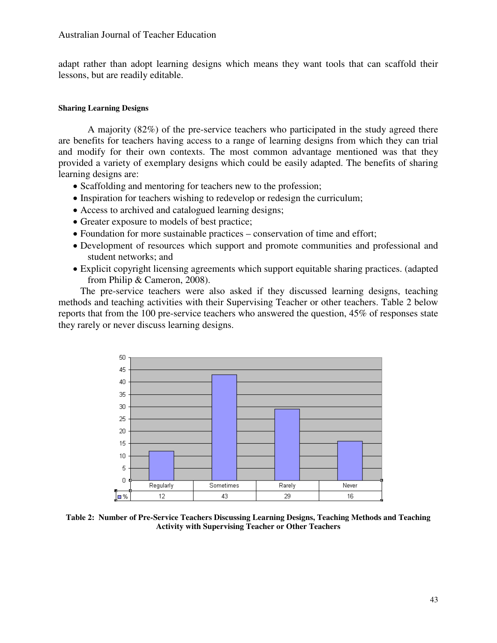#### Australian Journal of Teacher Education

adapt rather than adopt learning designs which means they want tools that can scaffold their lessons, but are readily editable.

#### **Sharing Learning Designs**

 A majority (82%) of the pre-service teachers who participated in the study agreed there are benefits for teachers having access to a range of learning designs from which they can trial and modify for their own contexts. The most common advantage mentioned was that they provided a variety of exemplary designs which could be easily adapted. The benefits of sharing learning designs are:

- Scaffolding and mentoring for teachers new to the profession;
- Inspiration for teachers wishing to redevelop or redesign the curriculum;
- Access to archived and catalogued learning designs;
- Greater exposure to models of best practice;
- Foundation for more sustainable practices conservation of time and effort;
- Development of resources which support and promote communities and professional and student networks; and
- Explicit copyright licensing agreements which support equitable sharing practices. (adapted from Philip & Cameron, 2008).

 The pre-service teachers were also asked if they discussed learning designs, teaching methods and teaching activities with their Supervising Teacher or other teachers. Table 2 below reports that from the 100 pre-service teachers who answered the question, 45% of responses state they rarely or never discuss learning designs.



**Table 2: Number of Pre-Service Teachers Discussing Learning Designs, Teaching Methods and Teaching Activity with Supervising Teacher or Other Teachers**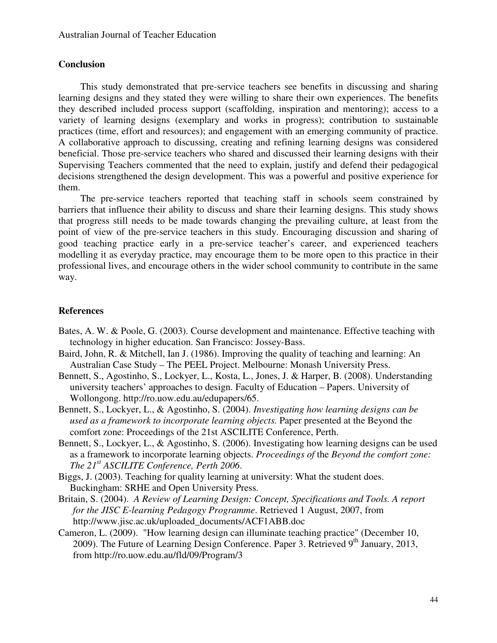# **Conclusion**

 This study demonstrated that pre-service teachers see benefits in discussing and sharing learning designs and they stated they were willing to share their own experiences. The benefits they described included process support (scaffolding, inspiration and mentoring); access to a variety of learning designs (exemplary and works in progress); contribution to sustainable practices (time, effort and resources); and engagement with an emerging community of practice. A collaborative approach to discussing, creating and refining learning designs was considered beneficial. Those pre-service teachers who shared and discussed their learning designs with their Supervising Teachers commented that the need to explain, justify and defend their pedagogical decisions strengthened the design development. This was a powerful and positive experience for them.

The pre-service teachers reported that teaching staff in schools seem constrained by barriers that influence their ability to discuss and share their learning designs. This study shows that progress still needs to be made towards changing the prevailing culture, at least from the point of view of the pre-service teachers in this study. Encouraging discussion and sharing of good teaching practice early in a pre-service teacher's career, and experienced teachers modelling it as everyday practice, may encourage them to be more open to this practice in their professional lives, and encourage others in the wider school community to contribute in the same way.

## **References**

- Bates, A. W. & Poole, G. (2003). Course development and maintenance. Effective teaching with technology in higher education. San Francisco: Jossey-Bass.
- Baird, John, R. & Mitchell, Ian J. (1986). Improving the quality of teaching and learning: An Australian Case Study – The PEEL Project. Melbourne: Monash University Press.
- Bennett, S., Agostinho, S., Lockyer, L., Kosta, L., Jones, J. & Harper, B. (2008). Understanding university teachers' approaches to design. Faculty of Education – Papers. University of Wollongong. http://ro.uow.edu.au/edupapers/65.
- Bennett, S., Lockyer, L., & Agostinho, S. (2004). *Investigating how learning designs can be used as a framework to incorporate learning objects.* Paper presented at the Beyond the comfort zone: Proceedings of the 21st ASCILITE Conference, Perth.
- Bennett, S., Lockyer, L., & Agostinho, S. (2006). Investigating how learning designs can be used as a framework to incorporate learning objects. *Proceedings of* the *Beyond the comfort zone: The 21st ASCILITE Conference, Perth 2006*.
- Biggs, J. (2003). Teaching for quality learning at university: What the student does. Buckingham: SRHE and Open University Press.
- Britain, S. (2004). *A Review of Learning Design: Concept, Specifications and Tools. A report for the JISC E-learning Pedagogy Programme*. Retrieved 1 August, 2007, from http://www.jisc.ac.uk/uploaded\_documents/ACF1ABB.doc
- Cameron, L. (2009). "How learning design can illuminate teaching practice" (December 10, 2009). The Future of Learning Design Conference. Paper 3. Retrieved  $9<sup>th</sup>$  January, 2013, from http://ro.uow.edu.au/fld/09/Program/3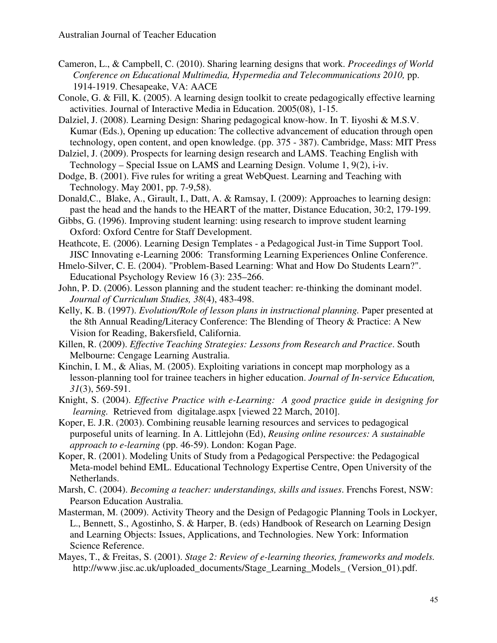- Cameron, L., & Campbell, C. (2010). Sharing learning designs that work. *Proceedings of World Conference on Educational Multimedia, Hypermedia and Telecommunications 2010,* pp. 1914-1919. Chesapeake, VA: AACE
- Conole, G. & Fill, K. (2005). A learning design toolkit to create pedagogically effective learning activities. Journal of Interactive Media in Education. 2005(08), 1-15.
- Dalziel, J. (2008). Learning Design: Sharing pedagogical know-how. In T. Iiyoshi & M.S.V. Kumar (Eds.), Opening up education: The collective advancement of education through open technology, open content, and open knowledge. (pp. 375 - 387). Cambridge, Mass: MIT Press
- Dalziel, J. (2009). Prospects for learning design research and LAMS. Teaching English with Technology – Special Issue on LAMS and Learning Design. Volume 1, 9(2), i-iv.
- Dodge, B. (2001). Five rules for writing a great WebQuest. Learning and Teaching with Technology. May 2001, pp. 7-9,58).
- Donald,C., Blake, A., Girault, I., Datt, A. & Ramsay, I. (2009): Approaches to learning design: past the head and the hands to the HEART of the matter, Distance Education, 30:2, 179-199.
- Gibbs, G. (1996). Improving student learning: using research to improve student learning Oxford: Oxford Centre for Staff Development.
- Heathcote, E. (2006). Learning Design Templates a Pedagogical Just-in Time Support Tool. JISC Innovating e-Learning 2006: Transforming Learning Experiences Online Conference.
- Hmelo-Silver, C. E. (2004). "Problem-Based Learning: What and How Do Students Learn?". Educational Psychology Review 16 (3): 235–266.
- John, P. D. (2006). Lesson planning and the student teacher: re-thinking the dominant model. *Journal of Curriculum Studies, 38*(4), 483-498.
- Kelly, K. B. (1997). *Evolution/Role of lesson plans in instructional planning.* Paper presented at the 8th Annual Reading/Literacy Conference: The Blending of Theory & Practice: A New Vision for Reading, Bakersfield, California.
- Killen, R. (2009). *Effective Teaching Strategies: Lessons from Research and Practice*. South Melbourne: Cengage Learning Australia.
- Kinchin, I. M., & Alias, M. (2005). Exploiting variations in concept map morphology as a lesson-planning tool for trainee teachers in higher education. *Journal of In-service Education, 31*(3), 569-591.
- Knight, S. (2004). *Effective Practice with e-Learning: A good practice guide in designing for learning.* Retrieved from digitalage.aspx [viewed 22 March, 2010].
- Koper, E. J.R. (2003). Combining reusable learning resources and services to pedagogical purposeful units of learning. In A. Littlejohn (Ed), *Reusing online resources: A sustainable approach to e-learning* (pp. 46-59). London: Kogan Page.
- Koper, R. (2001). Modeling Units of Study from a Pedagogical Perspective: the Pedagogical Meta-model behind EML. Educational Technology Expertise Centre, Open University of the Netherlands.
- Marsh, C. (2004). *Becoming a teacher: understandings, skills and issues*. Frenchs Forest, NSW: Pearson Education Australia.
- Masterman, M. (2009). Activity Theory and the Design of Pedagogic Planning Tools in Lockyer, L., Bennett, S., Agostinho, S. & Harper, B. (eds) Handbook of Research on Learning Design and Learning Objects: Issues, Applications, and Technologies. New York: Information Science Reference.
- Mayes, T., & Freitas, S. (2001). *Stage 2: Review of e-learning theories, frameworks and models.* http://www.jisc.ac.uk/uploaded\_documents/Stage\_Learning\_Models\_ (Version\_01).pdf.